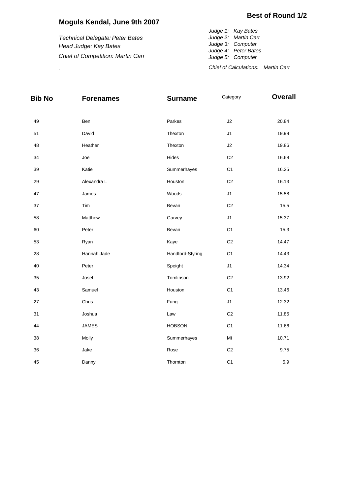## **Moguls Kendal, June 9th 2007**

*Technical Delegate: Peter Bates Head Judge: Kay Bates Chief of Competition: Martin Carr*

*Judge 1: Kay Bates Judge 2: Martin Carr Judge 3: Computer Judge 4: Peter Bates Judge 5: Computer Chief of Calculations: Martin Carr* .

| <b>Bib No</b> | <b>Forenames</b> | <b>Surname</b>   | Category       | <b>Overall</b> |  |  |
|---------------|------------------|------------------|----------------|----------------|--|--|
| 49            | Ben              | Parkes           | J2             | 20.84          |  |  |
| 51            | David            | Thexton          | J1             | 19.99          |  |  |
| 48            | Heather          | Thexton          | J2             | 19.86          |  |  |
| 34            | Joe              | Hides            | C <sub>2</sub> | 16.68          |  |  |
| 39            | Katie            | Summerhayes      | C <sub>1</sub> | 16.25          |  |  |
| 29            | Alexandra L      | Houston          | C <sub>2</sub> | 16.13          |  |  |
| 47            | James            | Woods            | J1             | 15.58          |  |  |
| 37            | Tim              | Bevan            | C <sub>2</sub> | 15.5           |  |  |
| 58            | Matthew          | Garvey           | J <sub>1</sub> | 15.37          |  |  |
| 60            | Peter            | Bevan            | C <sub>1</sub> | 15.3           |  |  |
| 53            | Ryan             | Kaye             | C <sub>2</sub> | 14.47          |  |  |
| 28            | Hannah Jade      | Handford-Styring | C <sub>1</sub> | 14.43          |  |  |
| 40            | Peter            | Speight          | J1             | 14.34          |  |  |
| 35            | Josef            | Tomlinson        | $\mbox{C2}$    | 13.92          |  |  |
| 43            | Samuel           | Houston          | C <sub>1</sub> | 13.46          |  |  |
| 27            | Chris            | Fung             | J1             | 12.32          |  |  |
| 31            | Joshua           | Law              | $\mbox{C2}$    | 11.85          |  |  |
| 44            | <b>JAMES</b>     | <b>HOBSON</b>    | C <sub>1</sub> | 11.66          |  |  |
| 38            | Molly            | Summerhayes      | Mi             | 10.71          |  |  |
| 36            | Jake             | Rose             | C <sub>2</sub> | 9.75           |  |  |
| 45            | Danny            | Thornton         | C <sub>1</sub> | 5.9            |  |  |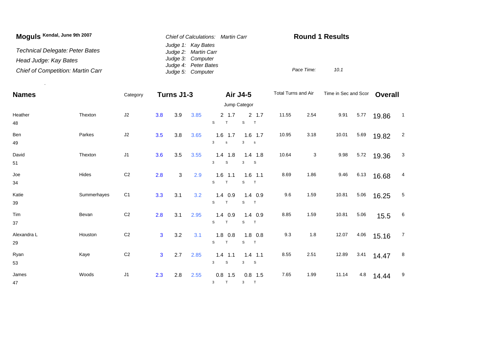| Moguls Kendal, June 9th 2007             | Chief of Calculations: Martin Carr         | <b>Round 1 Results</b> |  |  |  |  |
|------------------------------------------|--------------------------------------------|------------------------|--|--|--|--|
| Technical Delegate: Peter Bates          | Judge 1: Kay Bates<br>Judge 2: Martin Carr |                        |  |  |  |  |
| Head Judge: Kay Bates                    | Judge 3: Computer                          |                        |  |  |  |  |
| <b>Chief of Competition: Martin Carr</b> | Judge 4: Peter Bates<br>Judge 5: Computer  | Pace Time:<br>10.1     |  |  |  |  |

.

| <b>Names</b>      |             | Category       | Turns J1-3     |     | Air J4-5 |                                | Total Turns and Air                       |       | Time in Sec and Scor |       | <b>Overall</b> |       |                 |
|-------------------|-------------|----------------|----------------|-----|----------|--------------------------------|-------------------------------------------|-------|----------------------|-------|----------------|-------|-----------------|
|                   |             | Jump Categor   |                |     |          |                                |                                           |       |                      |       |                |       |                 |
| Heather<br>48     | Thexton     | J2             | 3.8            | 3.9 | 3.85     | $2 \t1.7$<br>T<br>S            | 2, 1.7<br>${\tt S}$<br>T                  | 11.55 | 2.54                 | 9.91  | 5.77           | 19.86 | $\overline{1}$  |
| Ben<br>49         | Parkes      | $\sf J2$       | 3.5            | 3.8 | 3.65     | $1.6$ 1.7<br>3<br>$\mathbf s$  | $1.6$ 1.7<br>$\mathbf{3}$<br>$\mathbf{s}$ | 10.95 | 3.18                 | 10.01 | 5.69           | 19.82 | $\overline{c}$  |
| David<br>51       | Thexton     | J1             | 3.6            | 3.5 | 3.55     | $1.4$ 1.8<br>3<br>S            | $1.4$ 1.8<br>3<br>$\mathbf{s}$            | 10.64 | 3                    | 9.98  | 5.72           | 19.36 | 3               |
| Joe<br>34         | Hides       | C <sub>2</sub> | 2.8            | 3   | 2.9      | $1.6$ 1.1<br>S<br>$\mathsf{T}$ | $1.6$ 1.1<br>S<br>$\top$                  | 8.69  | 1.86                 | 9.46  | 6.13           | 16.68 | 4               |
| Katie<br>39       | Summerhayes | C <sub>1</sub> | 3.3            | 3.1 | 3.2      | $1.4$ 0.9<br>S<br>T            | $1.4$ 0.9<br>S<br>T                       | 9.6   | 1.59                 | 10.81 | 5.06           | 16.25 | $\overline{5}$  |
| Tim<br>37         | Bevan       | C <sub>2</sub> | 2.8            | 3.1 | 2.95     | $1.4$ 0.9<br>S<br>T            | $1.4$ 0.9<br>s<br>T                       | 8.85  | 1.59                 | 10.81 | 5.06           | 15.5  | $6\phantom{.}6$ |
| Alexandra L<br>29 | Houston     | C <sub>2</sub> | $\overline{3}$ | 3.2 | 3.1      | $1.8$ 0.8<br>T<br>S            | $1.8$ 0.8<br>$\mathbf s$<br>T             | 9.3   | 1.8                  | 12.07 | 4.06           | 15.16 | $\overline{7}$  |
| Ryan<br>53        | Kaye        | C <sub>2</sub> | $\mathbf{3}$   | 2.7 | 2.85     | $1.4$ 1.1<br>3<br>$\mathbb S$  | $1.4$ 1.1<br>3<br>$\mathbf{s}$            | 8.55  | 2.51                 | 12.89 | 3.41           | 14.47 | 8               |
| James<br>47       | Woods       | J1             | 2.3            | 2.8 | 2.55     | $0.8$ 1.5<br>T<br>3            | $0.8$ 1.5<br>3 <sup>1</sup><br>T          | 7.65  | 1.99                 | 11.14 | 4.8            | 14.44 | 9               |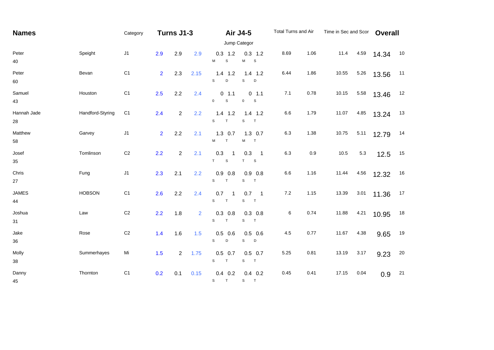| <b>Names</b>       |                  | Category       | Turns J1-3     |                |                | <b>Air J4-5</b>                            |                                             | Total Turns and Air |      | Time in Sec and Scor |         | <b>Overall</b> |    |
|--------------------|------------------|----------------|----------------|----------------|----------------|--------------------------------------------|---------------------------------------------|---------------------|------|----------------------|---------|----------------|----|
|                    |                  | Jump Categor   |                |                |                |                                            |                                             |                     |      |                      |         |                |    |
| Peter<br>40        | Speight          | J1             | 2.9            | 2.9            | 2.9            | $0.3$ 1.2<br>М<br>$\mathbb S$              | $0.3$ 1.2<br>M<br>$\mathbf{s}$              | 8.69                | 1.06 | 11.4                 | 4.59    | 14.34          | 10 |
| Peter<br>60        | Bevan            | C <sub>1</sub> | 2 <sup>1</sup> | 2.3            | 2.15           | $1.4$ 1.2<br>S<br>D                        | $1.4$ 1.2<br>S<br>D                         | 6.44                | 1.86 | 10.55                | 5.26    | 13.56          | 11 |
| Samuel<br>43       | Houston          | C <sub>1</sub> | 2.5            | 2.2            | 2.4            | $0$ 1.1<br>$\mathsf S$<br>0                | 0 1.1<br>$\mathsf 0$<br>S.                  | 7.1                 | 0.78 | 10.15                | 5.58    | 13.46          | 12 |
| Hannah Jade<br>28  | Handford-Styring | C <sub>1</sub> | 2.4            | $\overline{2}$ | 2.2            | $1.4$ 1.2<br>S<br>T                        | $1.4$ 1.2<br>S<br>T                         | 6.6                 | 1.79 | 11.07                | 4.85    | 13.24          | 13 |
| Matthew<br>58      | Garvey           | J1             | 2 <sup>1</sup> | 2.2            | 2.1            | $1.3$ 0.7<br>M<br>T                        | $1.3$ 0.7<br>М<br>$\top$                    | 6.3                 | 1.38 | 10.75                | 5.11    | 12.79          | 14 |
| Josef<br>35        | Tomlinson        | $\mbox{C2}$    | 2.2            | $\overline{2}$ | 2.1            | 0.3<br>$\overline{1}$<br>T<br>$\mathsf{s}$ | 0.3<br>$\overline{\phantom{0}}$ 1<br>T<br>S | 6.3                 | 0.9  | 10.5                 | $5.3\,$ | 12.5           | 15 |
| Chris<br>27        | Fung             | J1             | 2.3            | 2.1            | 2.2            | $0.9$ 0.8<br>s<br>$\top$                   | $0.9$ 0.8<br>S<br>$\top$                    | 6.6                 | 1.16 | 11.44                | 4.56    | 12.32          | 16 |
| <b>JAMES</b><br>44 | <b>HOBSON</b>    | C <sub>1</sub> | 2.6            | 2.2            | 2.4            | 0.7<br>-1<br>S.<br>T                       | $0.7$ 1<br>S<br>T                           | 7.2                 | 1.15 | 13.39                | 3.01    | 11.36          | 17 |
| Joshua<br>31       | Law              | C <sub>2</sub> | 2.2            | 1.8            | $\overline{2}$ | $0.3$ 0.8<br>S.<br>T                       | $0.3$ 0.8<br>S T                            | 6                   | 0.74 | 11.88                | 4.21    | 10.95          | 18 |
| Jake<br>36         | Rose             | $\mbox{C2}$    | $1.4$          | 1.6            | 1.5            | $0.5$ 0.6<br>$\mathbf S$<br>$\mathsf D$    | $0.5$ 0.6<br>$\mathbb S$<br>$\mathsf D$     | 4.5                 | 0.77 | 11.67                | 4.38    | 9.65           | 19 |
| Molly<br>38        | Summerhayes      | Mi             | 1.5            | $\overline{2}$ | 1.75           | $0.5$ 0.7<br>S<br>T                        | $0.5$ 0.7<br>S<br>T                         | 5.25                | 0.81 | 13.19                | 3.17    | 9.23           | 20 |
| Danny<br>45        | Thornton         | C <sub>1</sub> | 0.2            | 0.1            | 0.15           | $0.4$ 0.2<br>T<br>S                        | $0.4$ 0.2<br>$\mathsf{s}$<br>T              | 0.45                | 0.41 | 17.15                | 0.04    | 0.9            | 21 |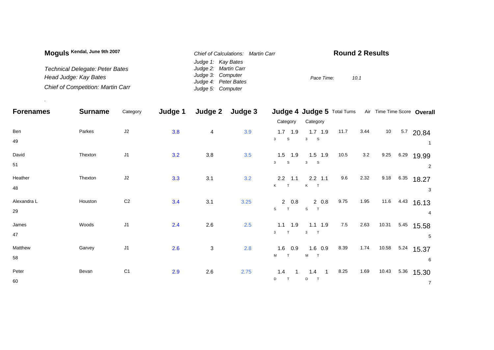| Moguls Kendal, June 9th 2007             | Chief of Calculations: Martin Carr | <b>Round 2 Results</b> |
|------------------------------------------|------------------------------------|------------------------|
|                                          | Judge 1: Kay Bates                 |                        |
| Technical Delegate: Peter Bates          | Judge 2: Martin Carr               |                        |
| Head Judge: Kay Bates                    | Judge 3: Computer                  | Pace Time:<br>10.1     |
|                                          | Judge 4: Peter Bates               |                        |
| <b>Chief of Competition: Martin Carr</b> | Judge 5: Computer                  |                        |

.

| <b>Forenames</b> | <b>Surname</b> | Category       | Judge 1 | Judge 2                   | Judge 3 |                              | Judge 4 Judge 5 Total Turns Air Time Time Score Overall |      |      |                 |      |                |
|------------------|----------------|----------------|---------|---------------------------|---------|------------------------------|---------------------------------------------------------|------|------|-----------------|------|----------------|
|                  |                |                |         |                           |         | Category                     | Category                                                |      |      |                 |      |                |
| Ben              | Parkes         | $\sf J2$       | 3.8     | 4                         | 3.9     | $1.7$ 1.9                    | $1.7$ 1.9                                               | 11.7 | 3.44 | 10 <sub>1</sub> |      | $5.7$ 20.84    |
| 49               |                |                |         |                           |         | $\mathbf{3}$<br>$\mathbf{s}$ | 3<br>S                                                  |      |      |                 |      | -1             |
| David            | Thexton        | J1             | 3.2     | 3.8                       | 3.5     | $1.5$ 1.9                    | $1.5$ 1.9                                               | 10.5 | 3.2  | 9.25            |      | 6.29 19.99     |
| 51               |                |                |         |                           |         | 3 <sup>1</sup><br>S          | $\mathbf{3}$<br>S                                       |      |      |                 |      | 2              |
| Heather          | Thexton        | J2             | 3.3     | 3.1                       | 3.2     | $2.2$ 1.1                    | $2.2$ 1.1                                               | 9.6  | 2.32 | 9.18            |      | $6.35$ 18.27   |
| 48               |                |                |         |                           |         | K T                          | K T                                                     |      |      |                 |      | 3              |
| Alexandra L      | Houston        | C <sub>2</sub> | 3.4     | 3.1                       | 3.25    | $2\quad 0.8$                 | $2\;\;0.8$                                              | 9.75 | 1.95 | 11.6            |      | $4.43$ 16.13   |
| 29               |                |                |         |                           |         | $\mathbb S$<br>T             | S<br>T                                                  |      |      |                 |      | 4              |
| James            | Woods          | J1             | 2.4     | 2.6                       | 2.5     | $1.1$ 1.9                    | $1.1$ 1.9                                               | 7.5  | 2.63 | 10.31           |      | 5.45 15.58     |
| 47               |                |                |         |                           |         | T<br>3                       | 3<br>$\top$                                             |      |      |                 |      | 5              |
| Matthew          | Garvey         | J1             | 2.6     | $\ensuremath{\mathsf{3}}$ | 2.8     | $1.6$ 0.9                    | $1.6$ 0.9                                               | 8.39 | 1.74 | 10.58           |      | $5.24$ 15.37   |
| 58               |                |                |         |                           |         | <b>M</b><br>$\top$           | $M$ T                                                   |      |      |                 |      | 6              |
| Peter            | Bevan          | C <sub>1</sub> | 2.9     | 2.6                       | 2.75    | 1.4                          | 1.4                                                     | 8.25 | 1.69 | 10.43           | 5.36 | 15.30          |
| 60               |                |                |         |                           |         | D<br>T                       | D                                                       |      |      |                 |      | $\overline{7}$ |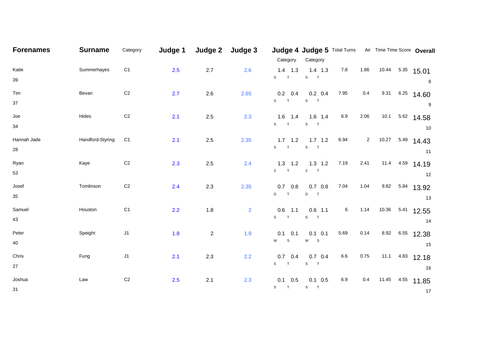| <b>Forenames</b> | <b>Surname</b>   | Category       | Judge 1 | Judge 2        | Judge 3        |                 | Judge 4 Judge 5 Total Turns Air Time Time Score Overall |      |                |       |      |                  |
|------------------|------------------|----------------|---------|----------------|----------------|-----------------|---------------------------------------------------------|------|----------------|-------|------|------------------|
|                  |                  |                |         |                |                | Category        | Category                                                |      |                |       |      |                  |
| Katie            | Summerhayes      | C <sub>1</sub> | 2.5     | 2.7            | 2.6            | $1.4$ 1.3       | $1.4$ 1.3                                               | 7.8  | 1.86           |       |      | 10.44 5.35 15.01 |
| 39               |                  |                |         |                |                | $S$ T           | $S$ T                                                   |      |                |       |      | 8                |
| Tim              | Bevan            | $\mathsf{C}2$  | 2.7     | 2.6            | 2.65           | $0.2 \quad 0.4$ | $0.2 \quad 0.4$                                         | 7.95 | 0.4            | 9.31  |      | $6.25$ 14.60     |
| 37               |                  |                |         |                |                | S<br>T          | ${\tt S}$<br>$\blacksquare$                             |      |                |       |      | 9                |
| Joe              | Hides            | C <sub>2</sub> | 2.1     | $2.5\,$        | 2.3            | $1.6$ 1.4       | $1.6$ 1.4                                               | 6.9  | 2.06           | 10.1  |      | $5.62$ 14.58     |
| 34               |                  |                |         |                |                | $S$ T           | $S$ T                                                   |      |                |       |      | 10               |
| Hannah Jade      | Handford-Styring | C <sub>1</sub> | 2.1     | 2.5            | 2.35           | $1.7$ 1.2       | $1.7$ $1.2$                                             | 6.94 | $\overline{2}$ | 10.27 |      | $5.49$ 14.43     |
| 28               |                  |                |         |                |                | S T             | $S$ T                                                   |      |                |       |      | 11               |
| Ryan             | Kaye             | C <sub>2</sub> | 2.3     | $2.5\,$        | 2.4            | $1.3$ 1.2       | $1.3$ 1.2                                               | 7.19 | 2.41           |       |      | 11.4 4.59 14.19  |
| 53               |                  |                |         |                |                | $3$ T           | $3$ T                                                   |      |                |       |      | 12               |
| Josef            | Tomlinson        | C <sub>2</sub> | 2.4     | 2.3            | 2.35           | $0.7\quad 0.8$  | $0.7\ 0.8$                                              | 7.04 | 1.04           | 9.82  | 5.84 | 13.92            |
| 35               |                  |                |         |                |                | D T             | D T                                                     |      |                |       |      | 13               |
| Samuel           | Houston          | C <sub>1</sub> | 2.2     | 1.8            | $\overline{2}$ | 0.6<br>1.1      | $0.6$ 1.1                                               | 6    | 1.14           | 10.36 | 5.41 | 12.55            |
| 43               |                  |                |         |                |                | $S$ T           | $S$ T                                                   |      |                |       |      | 14               |
| Peter            | Speight          | J1             | 1.8     | $\overline{2}$ | 1.9            | $0.1 \quad 0.1$ | $0.1$ 0.1                                               | 5.69 | 0.14           | 8.92  |      | 6.55 12.38       |
| 40               |                  |                |         |                |                | M S             | $M$ S                                                   |      |                |       |      | 15               |
| Chris            | Fung             | $\sf J1$       | 2.1     | 2.3            | 2.2            | 0.7<br>0.4      | $0.7\quad 0.4$                                          | 6.6  | 0.75           | 11.1  |      | $4.83$ 12.18     |
| 27               |                  |                |         |                |                | $S$ T           | $S$ T                                                   |      |                |       |      | 16               |
| Joshua           | Law              | C <sub>2</sub> | 2.5     | 2.1            | 2.3            | $0.1 \quad 0.5$ | $0.1 \quad 0.5$                                         | 6.9  | 0.4            | 11.45 |      | 4.55 11.85       |
| 31               |                  |                |         |                |                | $S$ T           | $S$ T                                                   |      |                |       |      | 17               |